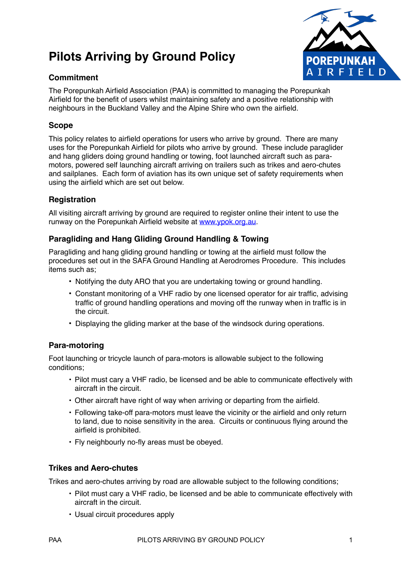# **Pilots Arriving by Ground Policy**



#### **Commitment**

The Porepunkah Airfield Association (PAA) is committed to managing the Porepunkah Airfield for the benefit of users whilst maintaining safety and a positive relationship with neighbours in the Buckland Valley and the Alpine Shire who own the airfield.

## **Scope**

This policy relates to airfield operations for users who arrive by ground. There are many uses for the Porepunkah Airfield for pilots who arrive by ground. These include paraglider and hang gliders doing ground handling or towing, foot launched aircraft such as paramotors, powered self launching aircraft arriving on trailers such as trikes and aero-chutes and sailplanes. Each form of aviation has its own unique set of safety requirements when using the airfield which are set out below.

## **Registration**

All visiting aircraft arriving by ground are required to register online their intent to use the runway on the Porepunkah Airfield website at [www.ypok.org.au.](http://www.ypok.org.au)

## **Paragliding and Hang Gliding Ground Handling & Towing**

Paragliding and hang gliding ground handling or towing at the airfield must follow the procedures set out in the SAFA Ground Handling at Aerodromes Procedure. This includes items such as;

- Notifying the duty ARO that you are undertaking towing or ground handling.
- Constant monitoring of a VHF radio by one licensed operator for air traffic, advising traffic of ground handling operations and moving off the runway when in traffic is in the circuit.
- Displaying the gliding marker at the base of the windsock during operations.

## **Para-motoring**

Foot launching or tricycle launch of para-motors is allowable subject to the following conditions;

- Pilot must cary a VHF radio, be licensed and be able to communicate effectively with aircraft in the circuit.
- Other aircraft have right of way when arriving or departing from the airfield.
- Following take-off para-motors must leave the vicinity or the airfield and only return to land, due to noise sensitivity in the area. Circuits or continuous flying around the airfield is prohibited.
- Fly neighbourly no-fly areas must be obeyed.

## **Trikes and Aero-chutes**

Trikes and aero-chutes arriving by road are allowable subject to the following conditions;

- Pilot must cary a VHF radio, be licensed and be able to communicate effectively with aircraft in the circuit.
- Usual circuit procedures apply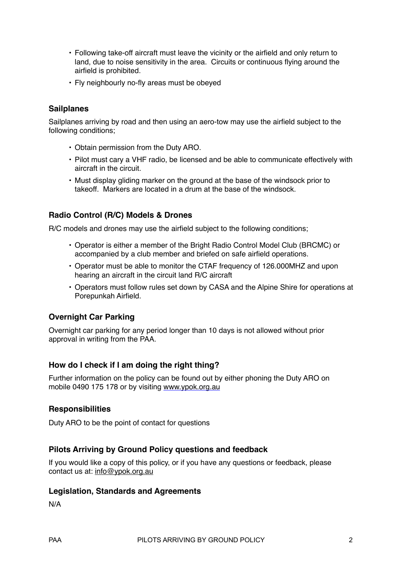- Following take-off aircraft must leave the vicinity or the airfield and only return to land, due to noise sensitivity in the area. Circuits or continuous flying around the airfield is prohibited.
- Fly neighbourly no-fly areas must be obeyed

#### **Sailplanes**

Sailplanes arriving by road and then using an aero-tow may use the airfield subject to the following conditions;

- Obtain permission from the Duty ARO.
- Pilot must cary a VHF radio, be licensed and be able to communicate effectively with aircraft in the circuit.
- Must display gliding marker on the ground at the base of the windsock prior to takeoff. Markers are located in a drum at the base of the windsock.

#### **Radio Control (R/C) Models & Drones**

R/C models and drones may use the airfield subject to the following conditions;

- Operator is either a member of the Bright Radio Control Model Club (BRCMC) or accompanied by a club member and briefed on safe airfield operations.
- Operator must be able to monitor the CTAF frequency of 126.000MHZ and upon hearing an aircraft in the circuit land R/C aircraft
- Operators must follow rules set down by CASA and the Alpine Shire for operations at Porepunkah Airfield.

#### **Overnight Car Parking**

Overnight car parking for any period longer than 10 days is not allowed without prior approval in writing from the PAA.

#### **How do I check if I am doing the right thing?**

Further information on the policy can be found out by either phoning the Duty ARO on mobile 0490 175 178 or by visiting [www.ypok.org.au](http://www.ypok.org.au)

#### **Responsibilities**

Duty ARO to be the point of contact for questions

#### **Pilots Arriving by Ground Policy questions and feedback**

If you would like a copy of this policy, or if you have any questions or feedback, please contact us at: [info@ypok.org.au](mailto:info@ypok.org.au)

#### **Legislation, Standards and Agreements**

N/A